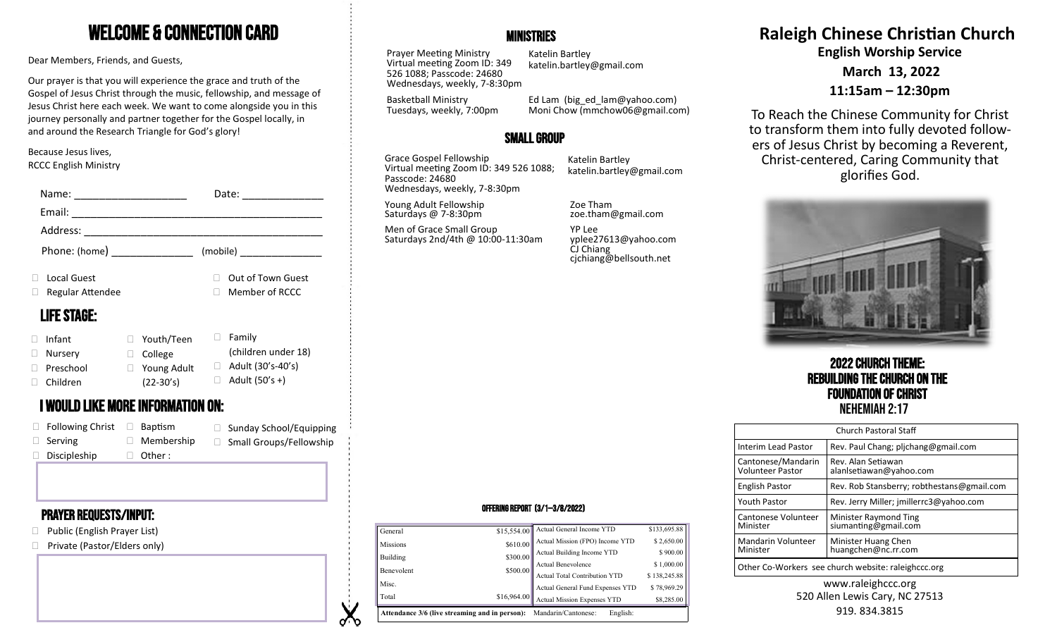# Welcome & Connection Card

Dear Members, Friends, and Guests,

Our prayer is that you will experience the grace and truth of the Gospel of Jesus Christ through the music, fellowship, and message of Jesus Christ here each week. We want to come alongside you in this journey personally and partner together for the Gospel locally, in and around the Research Triangle for God's glory!

#### Because Jesus lives, RCCC English Ministry

| Name:                    |                                          | Date:                     | Wednesdays, weekly, 7-8:30pm                   |                                                             |                                                     |
|--------------------------|------------------------------------------|---------------------------|------------------------------------------------|-------------------------------------------------------------|-----------------------------------------------------|
| Email:                   |                                          |                           | Young Adult Fellowship<br>Saturdays @ 7-8:30pm | Zoe Tham<br>zoe.tham@gmail.com                              |                                                     |
| Address:                 |                                          |                           | Men of Grace Small Group                       | YP Lee                                                      |                                                     |
| Phone: (home)            |                                          | (mobile)                  | Saturdays 2nd/4th @ 10:00-11:30am              | yplee27613@yahoo.com<br>CJ Chiang<br>cjchiang@bellsouth.net |                                                     |
| Local Guest              |                                          | □ Out of Town Guest       |                                                |                                                             |                                                     |
| $\Box$ Regular Attendee  |                                          | $\Box$ Member of RCCC     |                                                |                                                             |                                                     |
| <b>LIFE STAGE:</b>       |                                          | $\Box$ Family             |                                                |                                                             |                                                     |
| $\Box$ Infant            | $\Box$ Youth/Teen                        | (children under 18)       |                                                |                                                             |                                                     |
| □ Nursery<br>D Preschool | □ College<br>$\Box$ Young Adult          | $\Box$ Adult (30's-40's)  |                                                |                                                             | <b>2022 CHURCH THE</b>                              |
| $\Box$ Children          | $(22-30's)$                              | $\Box$ Adult (50's +)     |                                                |                                                             | <b>REBUILDING THE CHURC</b>                         |
|                          | <b>I WOULD LIKE MORE INFORMATION ON:</b> |                           |                                                |                                                             | <b>FOUNDATION OF CH</b><br><b>NEHEMIAH 2:17</b>     |
| $\Box$ Following Christ  | $\Box$ Baptism                           | □ Sunday School/Equipping |                                                |                                                             | Church Pastoral Sta                                 |
| $\Box$ Serving           | $\Box$ Membership                        | □ Small Groups/Fellowship |                                                |                                                             | Rev. Paul Chang; pljc<br><b>Interim Lead Pastor</b> |
| Discipleship             | Other :                                  |                           |                                                |                                                             |                                                     |

### Prayer requests/Input:

- □ Public (English Prayer List)
- □ Private (Pastor/Elders only)

# **MINISTRIES**

Prayer Meeting Ministry Virtual meeting Zoom ID: 349 526 1088; Passcode: 24680 Wednesdays, weekly, 7-8:30pm

Katelin Bartley katelin.bartley@gmail.com

Basketball Ministry Tuesdays, weekly, 7:00pm

Ed Lam (big\_ed\_lam@yahoo.com) Moni Chow (mmchow06@gmail.com)

# Small Group

Grace Gospel Fellowship Virtual meeting Zoom ID: 349 526 1088; Passcode: 24680 Wednesdays, weekly, 7-8:30pm

Katelin Bartley katelin.bartley@gmail.com **Raleigh Chinese Christian Church English Worship Service March 13, 2022 11:15am – 12:30pm**

To Reach the Chinese Community for Christ to transform them into fully devoted followers of Jesus Christ by becoming a Reverent, Christ-centered, Caring Community that glorifies God.



2022 Church Theme: Rebuilding the Church on the **Foundation of Christ**<br>Nehemiah 2:17

| <b>Church Pastoral Staff</b>                        |                                               |  |  |  |
|-----------------------------------------------------|-----------------------------------------------|--|--|--|
| Interim Lead Pastor                                 | Rev. Paul Chang; plichang@gmail.com           |  |  |  |
| Cantonese/Mandarin<br><b>Volunteer Pastor</b>       | Rev. Alan Setiawan<br>alanlsetiawan@yahoo.com |  |  |  |
| <b>English Pastor</b>                               | Rev. Rob Stansberry; robthestans@gmail.com    |  |  |  |
| <b>Youth Pastor</b>                                 | Rev. Jerry Miller; jmillerrc3@yahoo.com       |  |  |  |
| Cantonese Volunteer<br>Minister                     | Minister Raymond Ting<br>siumanting@gmail.com |  |  |  |
| Mandarin Volunteer<br>Minister                      | Minister Huang Chen<br>huangchen@nc.rr.com    |  |  |  |
| Other Co-Workers see church website: raleighccc.org |                                               |  |  |  |

#### www.raleighccc.org 520 Allen Lewis Cary, NC 27513 919.834.3815

#### Offering Report (3/1—3/8/2022)

| <b>Missions</b>                                                                       | \$610.00    | Actual Mission (FPO) Income YTD  | \$2,650.00   |  |  |
|---------------------------------------------------------------------------------------|-------------|----------------------------------|--------------|--|--|
| Building                                                                              | \$300.00    | Actual Building Income YTD       | \$900.00     |  |  |
|                                                                                       |             | Actual Benevolence               | \$1,000.00   |  |  |
| Benevolent                                                                            | \$500.00    | Actual Total Contribution YTD    | \$138,245.88 |  |  |
| Misc.                                                                                 |             | Actual General Fund Expenses YTD | \$78,969.29  |  |  |
| Total                                                                                 | \$16,964.00 | Actual Mission Expenses YTD      | \$8,285.00   |  |  |
| <b>Attendance 3/6 (live streaming and in person):</b> Mandarin/Cantonese:<br>English: |             |                                  |              |  |  |